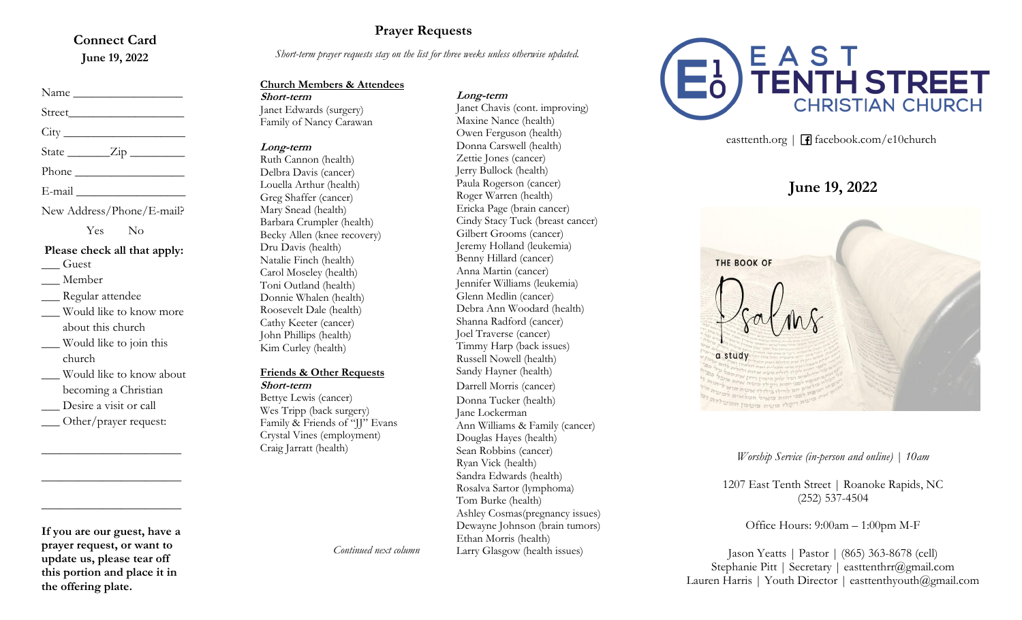## **Connect Card June 19, 2022**

# Name \_\_\_\_\_\_\_\_\_\_\_\_\_\_\_\_\_\_ Street\_\_\_\_\_\_\_\_\_\_\_\_\_\_\_\_\_\_\_ City \_\_\_\_\_\_\_\_\_\_\_\_\_\_\_\_\_\_\_\_ State <u>Zip</u>

Phone  $\blacksquare$ 

 $E$ -mail  $\Box$ 

New Address/Phone/E-mail?

Yes No

## **Please check all that apply:**

\_\_\_ Guest

\_\_\_ Member Regular attendee

- \_\_\_ Would like to know more about this church
- \_\_\_ Would like to join this church
- \_\_\_ Would like to know about becoming a Christian
- Desire a visit or call
- Other/prayer request:

**\_\_\_\_\_\_\_\_\_\_\_\_\_\_\_\_\_\_\_\_\_\_\_**

**\_\_\_\_\_\_\_\_\_\_\_\_\_\_\_\_\_\_\_\_\_\_\_**

**\_\_\_\_\_\_\_\_\_\_\_\_\_\_\_\_\_\_\_\_\_\_\_**

**If you are our guest, have a prayer request, or want to update us, please tear off this portion and place it in the offering plate.**

## **Prayer Requests**

*Short-term prayer requests stay on the list for three weeks unless otherwise updated.*

## **Church Members & Attendees**

**Short-term** Janet Edwards (surgery) Family of Nancy Carawan

## **Long-term**

Ruth Cannon (health) Delbra Davis (cancer) Louella Arthur (health) Greg Shaffer (cancer) Mary Snead (health) Barbara Crumpler (health) Becky Allen (knee recovery) Dru Davis (health) Natalie Finch (health) Carol Moseley (health) Toni Outland (health) Donnie Whalen (health) Roosevelt Dale (health) Cathy Keeter (cancer) John Phillips (health) Kim Curley (health)

## **Friends & Other Requests**

**Short-term** Bettye Lewis (cancer) Wes Tripp (back surgery) Family & Friends of "JJ" Evans Crystal Vines (employment) Craig Jarratt (health)

*Continued next column*

**Long-term**

Janet Chavis (cont. improving) Maxine Nance (health) Owen Ferguson (health) Donna Carswell (health) Zettie Jones (cancer) Jerry Bullock (health) Paula Rogerson (cancer) Roger Warren (health) Ericka Page (brain cancer) Cindy Stacy Tuck (breast cancer) Gilbert Grooms (cancer) Jeremy Holland (leukemia) Benny Hillard (cancer) Anna Martin (cancer) Jennifer Williams (leukemia) Glenn Medlin (cancer) Debra Ann Woodard (health) Shanna Radford (cancer) Joel Traverse (cancer) Timmy Harp (back issues) Russell Nowell (health) Sandy Hayner (health) Darrell Morris (cancer) Donna Tucker (health) Jane Lockerman Ann Williams & Family (cancer) Douglas Hayes (health) Sean Robbins (cancer) Ryan Vick (health) Sandra Edwards (health) Rosalva Sartor (lymphoma) Tom Burke (health) Ashley Cosmas(pregnancy issues) Dewayne Johnson (brain tumors) Ethan Morris (health) Larry Glasgow (health issues)



easttenth.org | **f** facebook.com/e10church

# **June 19, 2022**

# THE BOOK OF a study

*Worship Service (in-person and online) | 10am*

1207 East Tenth Street | Roanoke Rapids, NC (252) 537-4504

Office Hours: 9:00am – 1:00pm M-F

Jason Yeatts | Pastor | (865) 363-8678 (cell) Stephanie Pitt | Secretary | easttenthrr@gmail.com Lauren Harris | Youth Director | easttenthyouth@gmail.com